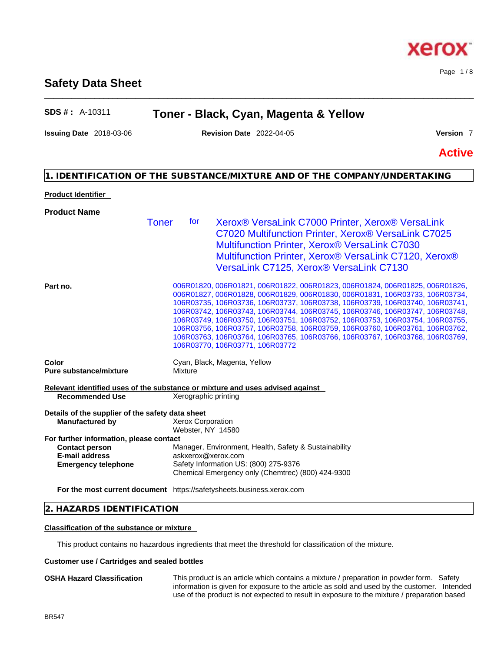# **Safety Data Sheet**

# **SDS # :** A-10311 **Toner - Black, Cyan, Magenta & Yellow**

\_\_\_\_\_\_\_\_\_\_\_\_\_\_\_\_\_\_\_\_\_\_\_\_\_\_\_\_\_\_\_\_\_\_\_\_\_\_\_\_\_\_\_\_\_\_\_\_\_\_\_\_\_\_\_\_\_\_\_\_\_\_\_\_\_\_\_\_\_\_\_\_\_\_\_\_\_\_\_\_\_\_\_\_\_\_\_\_\_\_\_\_\_\_

**Issuing Date** 2018-03-06 **Revision Date** 2022-04-05 **Version** 7

Page 1 / 8

**Active**

# **1. IDENTIFICATION OF THE SUBSTANCE/MIXTURE AND OF THE COMPANY/UNDERTAKING**

# **Product Identifier**

| <b>Product Name</b>                                                           |                                               |                                                                                                                                                                                                                                                                                                                                                                                                                                                                                                                                                                                                                 |
|-------------------------------------------------------------------------------|-----------------------------------------------|-----------------------------------------------------------------------------------------------------------------------------------------------------------------------------------------------------------------------------------------------------------------------------------------------------------------------------------------------------------------------------------------------------------------------------------------------------------------------------------------------------------------------------------------------------------------------------------------------------------------|
|                                                                               | Toner<br>for                                  | Xerox <sup>®</sup> VersaLink C7000 Printer, Xerox <sup>®</sup> VersaLink<br>C7020 Multifunction Printer, Xerox® VersaLink C7025<br>Multifunction Printer, Xerox <sup>®</sup> VersaLink C7030<br>Multifunction Printer, Xerox® VersaLink C7120, Xerox®<br>VersaLink C7125, Xerox® VersaLink C7130                                                                                                                                                                                                                                                                                                                |
| Part no.                                                                      |                                               | 006R01820, 006R01821, 006R01822, 006R01823, 006R01824, 006R01825, 006R01826,<br>006R01827, 006R01828, 006R01829, 006R01830, 006R01831, 106R03733, 106R03734,<br>106R03735, 106R03736, 106R03737, 106R03738, 106R03739, 106R03740, 106R03741,<br>106R03742, 106R03743, 106R03744, 106R03745, 106R03746, 106R03747, 106R03748,<br>106R03749, 106R03750, 106R03751, 106R03752, 106R03753, 106R03754, 106R03755,<br>106R03756, 106R03757, 106R03758, 106R03759, 106R03760, 106R03761, 106R03762,<br>106R03763, 106R03764, 106R03765, 106R03766, 106R03767, 106R03768, 106R03769,<br>106R03770, 106R03771, 106R03772 |
| Color<br><b>Pure substance/mixture</b>                                        | Mixture                                       | Cyan, Black, Magenta, Yellow                                                                                                                                                                                                                                                                                                                                                                                                                                                                                                                                                                                    |
| Relevant identified uses of the substance or mixture and uses advised against |                                               |                                                                                                                                                                                                                                                                                                                                                                                                                                                                                                                                                                                                                 |
| <b>Recommended Use</b>                                                        | Xerographic printing                          |                                                                                                                                                                                                                                                                                                                                                                                                                                                                                                                                                                                                                 |
| Details of the supplier of the safety data sheet                              |                                               |                                                                                                                                                                                                                                                                                                                                                                                                                                                                                                                                                                                                                 |
| <b>Manufactured by</b>                                                        | <b>Xerox Corporation</b><br>Webster, NY 14580 |                                                                                                                                                                                                                                                                                                                                                                                                                                                                                                                                                                                                                 |
| For further information, please contact                                       |                                               |                                                                                                                                                                                                                                                                                                                                                                                                                                                                                                                                                                                                                 |
| <b>Contact person</b>                                                         |                                               | Manager, Environment, Health, Safety & Sustainability                                                                                                                                                                                                                                                                                                                                                                                                                                                                                                                                                           |
| <b>E-mail address</b>                                                         | askxerox@xerox.com                            |                                                                                                                                                                                                                                                                                                                                                                                                                                                                                                                                                                                                                 |
| <b>Emergency telephone</b>                                                    |                                               | Safety Information US: (800) 275-9376<br>Chemical Emergency only (Chemtrec) (800) 424-9300                                                                                                                                                                                                                                                                                                                                                                                                                                                                                                                      |
| For the most current document https://safetysheets.business.xerox.com         |                                               |                                                                                                                                                                                                                                                                                                                                                                                                                                                                                                                                                                                                                 |
|                                                                               |                                               |                                                                                                                                                                                                                                                                                                                                                                                                                                                                                                                                                                                                                 |

# **2. HAZARDS IDENTIFICATION**

### **Classification of the substance or mixture**

This product contains no hazardous ingredients that meet the threshold for classification of the mixture.

# **Customer use / Cartridges and sealed bottles**

**OSHA Hazard Classification** This product is an article which contains a mixture / preparation in powder form. Safety information is given for exposure to the article as sold and used by the customer. Intended use of the product is not expected to result in exposure to the mixture / preparation based

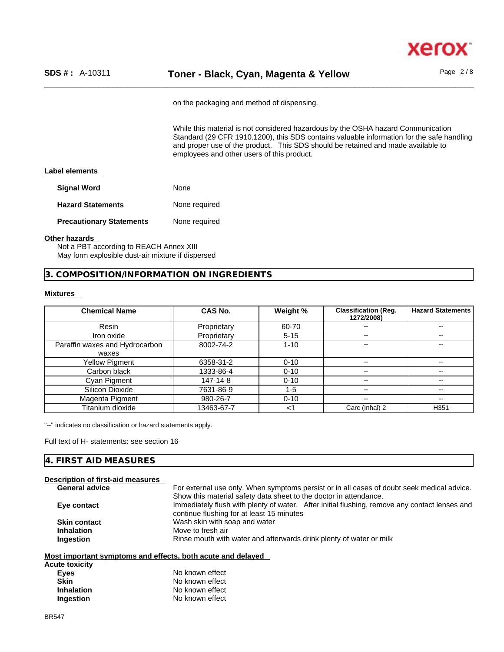

on the packaging and method of dispensing.

While this material is not considered hazardous by the OSHA hazard Communication Standard (29 CFR 1910.1200), this SDS contains valuable information for the safe handling and proper use of the product. This SDS should be retained and made available to employees and other users of this product.

# **Label elements**

| <b>Signal Word</b>              | <b>None</b>   |
|---------------------------------|---------------|
| <b>Hazard Statements</b>        | None required |
| <b>Precautionary Statements</b> | None required |

#### **Other hazards**

Not a PBT according to REACH Annex XIII May form explosible dust-air mixture if dispersed

# **3. COMPOSITION/INFORMATION ON INGREDIENTS**

# **Mixtures**

| <b>Chemical Name</b>           | CAS No.     | Weight % | <b>Classification (Reg.</b><br>1272/2008) | <b>Hazard Statements</b> |
|--------------------------------|-------------|----------|-------------------------------------------|--------------------------|
| Resin                          | Proprietary | 60-70    | --                                        | $\overline{\phantom{m}}$ |
| Iron oxide                     | Proprietary | $5 - 15$ | $- -$                                     | $- -$                    |
| Paraffin waxes and Hydrocarbon | 8002-74-2   | $1 - 10$ | --                                        | --                       |
| waxes                          |             |          |                                           |                          |
| Yellow Pigment                 | 6358-31-2   | $0 - 10$ | $- -$                                     | $- -$                    |
| Carbon black                   | 1333-86-4   | $0 - 10$ | $- -$                                     | $- -$                    |
| Cyan Pigment                   | 147-14-8    | $0 - 10$ | --                                        | $\overline{\phantom{m}}$ |
| Silicon Dioxide                | 7631-86-9   | 1-5      | $- -$                                     | $- -$                    |
| Magenta Pigment                | 980-26-7    | $0 - 10$ | --                                        | --                       |
| Titanium dioxide               | 13463-67-7  | <1       | Carc (Inhal) 2                            | H <sub>351</sub>         |

"--" indicates no classification or hazard statements apply.

**Inhalation** No known effect **Ingestion** No known effect

Full text of H- statements: see section 16

# **4. FIRST AID MEASURES**

| <b>Description of first-aid measures</b>                    |                                                                                               |
|-------------------------------------------------------------|-----------------------------------------------------------------------------------------------|
| <b>General advice</b>                                       | For external use only. When symptoms persist or in all cases of doubt seek medical advice.    |
|                                                             | Show this material safety data sheet to the doctor in attendance.                             |
| Eye contact                                                 | Immediately flush with plenty of water. After initial flushing, remove any contact lenses and |
|                                                             | continue flushing for at least 15 minutes                                                     |
| <b>Skin contact</b>                                         | Wash skin with soap and water                                                                 |
| <b>Inhalation</b>                                           | Move to fresh air                                                                             |
| <b>Ingestion</b>                                            | Rinse mouth with water and afterwards drink plenty of water or milk                           |
|                                                             |                                                                                               |
| Most important symptoms and effects, both acute and delayed |                                                                                               |
| <b>Acute toxicity</b>                                       |                                                                                               |
| <b>Eyes</b>                                                 | No known effect                                                                               |
| <b>Skin</b>                                                 | No known effect                                                                               |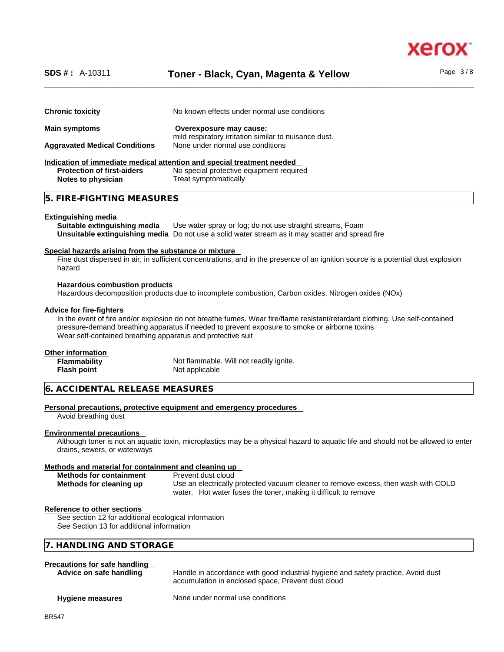

# \_\_\_\_\_\_\_\_\_\_\_\_\_\_\_\_\_\_\_\_\_\_\_\_\_\_\_\_\_\_\_\_\_\_\_\_\_\_\_\_\_\_\_\_\_\_\_\_\_\_\_\_\_\_\_\_\_\_\_\_\_\_\_\_\_\_\_\_\_\_\_\_\_\_\_\_\_\_\_\_\_\_\_\_\_\_\_\_\_\_\_\_\_\_ **SDS # :** A-10311 **Toner - Black, Cyan, Magenta & Yellow** Page 3 / 8

**Chronic toxicity** No known effects under normal use conditions **Main symptoms Overexposure may cause:**  mild respiratory irritation similar to nuisance dust. **Aggravated Medical Conditions** None under normal use conditions **Indication of immediate medical attention and special treatment needed Protection of first-aiders** No special protective equipment required<br> **Notes to physician**<br> **Treat symptomatically Notes to physician** 

# **5. FIRE-FIGHTING MEASURES**

#### **Extinguishing media**

**Suitable extinguishing media** Use water spray or fog; do not use straight streams, Foam **Unsuitable extinguishing media** Do not use a solid water stream as it may scatterand spread fire

#### **Special hazards arising from the substance or mixture**

Fine dust dispersed in air, in sufficient concentrations, and in the presence of an ignition source is a potential dust explosion hazard

#### **Hazardous combustion products**

Hazardous decomposition products due to incomplete combustion, Carbon oxides, Nitrogen oxides (NOx)

#### **Advice for fire-fighters**

In the event of fire and/or explosion do not breathe fumes. Wear fire/flame resistant/retardant clothing. Use self-contained pressure-demand breathing apparatus if needed to prevent exposure to smoke or airborne toxins. Wear self-contained breathing apparatus and protective suit

#### **Other information**

| <b>Flammability</b> | Not flammable. Will not readily ignite. |
|---------------------|-----------------------------------------|
| Flash point         | Not applicable                          |

# **6. ACCIDENTAL RELEASE MEASURES**

#### **Personal precautions, protective equipment and emergency procedures**

Avoid breathing dust

#### **Environmental precautions**

Although toner is not an aquatic toxin, microplastics may be a physical hazard to aquatic life and should not be allowed to enter drains, sewers, or waterways

#### **Methods and material for containment and cleaning up**

| <b>Methods for containment</b> | Prevent dust cloud                                                                 |
|--------------------------------|------------------------------------------------------------------------------------|
| Methods for cleaning up        | Use an electrically protected vacuum cleaner to remove excess, then wash with COLD |
|                                | water. Hot water fuses the toner, making it difficult to remove                    |

#### **Reference to other sections**

See section 12 for additional ecological information See Section 13 for additional information

# **7. HANDLING AND STORAGE**

# **Precautions for safe handling**

| Advice on safe handling | Handle in accordance with good industrial hygiene and safety practice, Avoid dust<br>accumulation in enclosed space, Prevent dust cloud |
|-------------------------|-----------------------------------------------------------------------------------------------------------------------------------------|
| <b>Hygiene measures</b> | None under normal use conditions                                                                                                        |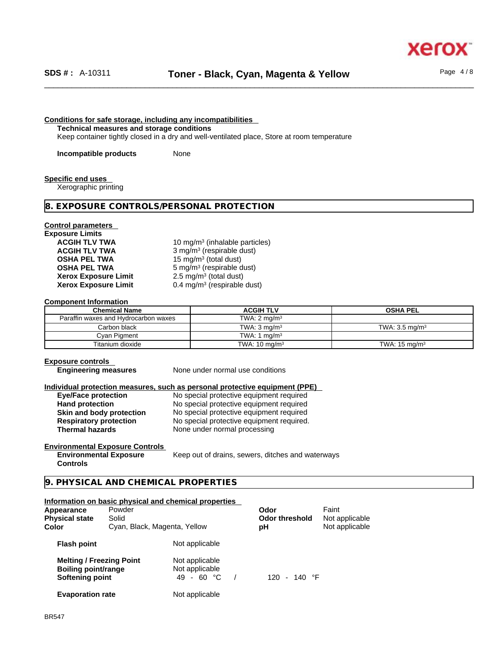xerc

### **Conditions for safe storage, including any incompatibilities**

**Technical measures and storage conditions**

Keep container tightly closed in a dry and well-ventilated place, Store at room temperature

**Incompatible products** None

#### **Specific end uses**

Xerographic printing

#### **8. EXPOSURE CONTROLS/PERSONAL PROTECTION**

#### **Control parameters**

**Exposure Limits Xerox Exposure Limit<br>Xerox Exposure Limit** 

**ACGIH TLV TWA** 10 mg/m<sup>3</sup> (inhalable particles) **ACGIH TLV TWA** 3 mg/m<sup>3</sup> (respirable dust) **OSHA PEL TWA** 15 mg/m<sup>3</sup> (total dust) **OSHA PEL TWA** 5 mg/m<sup>3</sup> (respirable dust)  $2.5 \text{ mg/m}^3$  (total dust) **Xerox Exposure Limit** 0.4 mg/m<sup>3</sup> (respirable dust)

#### **Component Information**

| <b>Chemical Name</b>                 | <b>ACGIH TLV</b>         | <b>OSHA PEL</b>           |
|--------------------------------------|--------------------------|---------------------------|
| Paraffin waxes and Hydrocarbon waxes | TWA: $2 \text{ mg/m}^3$  |                           |
| Carbon black                         | TWA: $3 \text{ ma/m}^3$  | TWA: $3.5 \text{ ma/m}^3$ |
| Cyan Pigment                         | TWA: 1 $mq/m3$           |                           |
| Titanium dioxide                     | TWA: $10 \text{ mg/m}^3$ | TWA: $15 \text{ mg/m}^3$  |

#### **Exposure controls**

**Engineering measures** None under normal use conditions

#### **Individual protection measures, such as personal protective equipment (PPE)**

| <b>Eye/Face protection</b>    |
|-------------------------------|
| <b>Hand protection</b>        |
| Skin and body protection      |
| <b>Respiratory protection</b> |
| <b>Thermal hazards</b>        |

**Eye/Face protection** No special protective equipment required No special protective equipment required **Skin and body protection** No special protective equipment required No special protective equipment required. None under normal processing

#### **Environmental Exposure Controls Environmental Exposure**

Keep out of drains, sewers, ditches and waterways

**Controls** 

**9. PHYSICAL AND CHEMICAL PROPERTIES** 

#### **Information on basic physical and chemical properties**

| Powder<br>Appearance<br>Solid<br><b>Physical state</b><br>Color<br>Cyan, Black, Magenta, Yellow |  |                                                | Odor<br><b>Odor threshold</b><br>рH | Faint<br>Not applicable<br>Not applicable |  |
|-------------------------------------------------------------------------------------------------|--|------------------------------------------------|-------------------------------------|-------------------------------------------|--|
| <b>Flash point</b>                                                                              |  | Not applicable                                 |                                     |                                           |  |
| <b>Melting / Freezing Point</b><br><b>Boiling point/range</b><br>Softening point                |  | Not applicable<br>Not applicable<br>49 - 60 °C | 120 - 140 °F                        |                                           |  |
| <b>Evaporation rate</b>                                                                         |  | Not applicable                                 |                                     |                                           |  |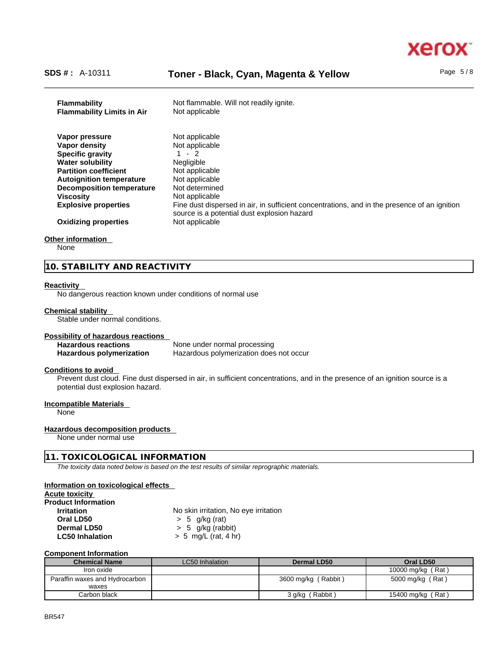

# \_\_\_\_\_\_\_\_\_\_\_\_\_\_\_\_\_\_\_\_\_\_\_\_\_\_\_\_\_\_\_\_\_\_\_\_\_\_\_\_\_\_\_\_\_\_\_\_\_\_\_\_\_\_\_\_\_\_\_\_\_\_\_\_\_\_\_\_\_\_\_\_\_\_\_\_\_\_\_\_\_\_\_\_\_\_\_\_\_\_\_\_\_\_ **SDS # :** A-10311 **Toner - Black, Cyan, Magenta & Yellow** Page 5 / 8

| Not applicable<br>Vapor pressure                                                                                                                                           |
|----------------------------------------------------------------------------------------------------------------------------------------------------------------------------|
| Not applicable<br>Vapor density                                                                                                                                            |
| $1 - 2$<br><b>Specific gravity</b>                                                                                                                                         |
| <b>Negligible</b><br><b>Water solubility</b>                                                                                                                               |
| <b>Partition coefficient</b><br>Not applicable                                                                                                                             |
| Not applicable<br><b>Autoignition temperature</b>                                                                                                                          |
| <b>Decomposition temperature</b><br>Not determined                                                                                                                         |
| Not applicable<br><b>Viscosity</b>                                                                                                                                         |
| Fine dust dispersed in air, in sufficient concentrations, and in the presence of an ignition<br><b>Explosive properties</b><br>source is a potential dust explosion hazard |
| Not applicable<br><b>Oxidizing properties</b>                                                                                                                              |

#### **Other information**

None

# **10. STABILITY AND REACTIVITY**

#### **Reactivity**

No dangerous reaction known under conditions of normal use

#### **Chemical stability**

Stable under normal conditions.

#### **Possibility of hazardous reactions**

**Hazardous reactions**<br> **Hazardous polymerization Hazardous polymerization does Hazardous polymerization does not occur** 

# **Conditions to avoid**

Prevent dust cloud. Fine dust dispersed in air, in sufficient concentrations, and in the presence of an ignition source is a potential dust explosion hazard.

#### **Incompatible Materials**

None

#### **Hazardous decomposition products**

None under normal use

# **11. TOXICOLOGICAL INFORMATION**

*The toxicity data noted below is based on the test results of similar reprographic materials.* 

#### **Information on toxicological effects**

| No skin irritation, No eye irritation |                     |
|---------------------------------------|---------------------|
| $> 5$ g/kg (rat)                      |                     |
|                                       |                     |
| $> 5$ mg/L (rat, 4 hr)                |                     |
|                                       | $> 5$ g/kg (rabbit) |

#### **Component Information**

| <b>Chemical Name</b>           | LC50 Inhalation | Dermal LD50            | Oral LD50         |
|--------------------------------|-----------------|------------------------|-------------------|
| Iron oxide                     |                 |                        | 10000 mg/kg (Rat) |
| Paraffin waxes and Hydrocarbon |                 | 3600 mg/kg (Rabbit)    | 5000 mg/kg (Rat)  |
| waxes                          |                 |                        |                   |
| Carbon black                   |                 | (Rabbit)<br>$3 g/kg$ ( | 15400 mg/kg (Rat) |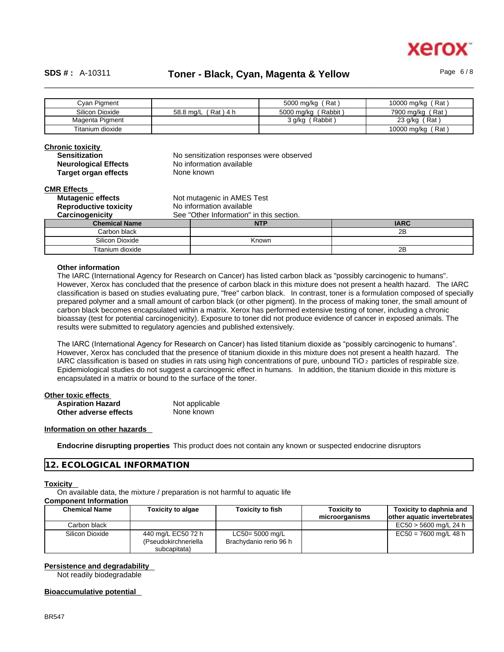

# \_\_\_\_\_\_\_\_\_\_\_\_\_\_\_\_\_\_\_\_\_\_\_\_\_\_\_\_\_\_\_\_\_\_\_\_\_\_\_\_\_\_\_\_\_\_\_\_\_\_\_\_\_\_\_\_\_\_\_\_\_\_\_\_\_\_\_\_\_\_\_\_\_\_\_\_\_\_\_\_\_\_\_\_\_\_\_\_\_\_\_\_\_\_ **SDS # :** A-10311 **Toner - Black, Cyan, Magenta & Yellow** Page 6 / 8

| Cvan Pigment     |                        | 5000 mg/kg (Rat)     | 10000 mg/kg (Rat) |
|------------------|------------------------|----------------------|-------------------|
| Silicon Dioxide  | Rat ) 4 h<br>58.8 mg/L | 5000 mg/kg (Rabbit)  | 7900 mg/kg (Rat)  |
| Magenta Pigment  |                        | (Rabbit)<br>3 g/kg ( | 23 $g/kg$ (Rat)   |
| Titanium dioxide |                        |                      | 10000 mg/kg (Rat) |

# **Chronic toxicity**

| <b>Sensitization</b>        |
|-----------------------------|
| <b>Neurological Effects</b> |
| <b>Target organ effects</b> |

No sensitization responses were observed **No information available None known** 

# **CMR Effects**

| <b>Mutagenic effects</b>     | Not mutagenic in AMES Test               |              |             |
|------------------------------|------------------------------------------|--------------|-------------|
| <b>Reproductive toxicity</b> | No information available                 |              |             |
| Carcinogenicity              | See "Other Information" in this section. |              |             |
| <b>Chemical Name</b>         |                                          | <b>NTP</b>   | <b>IARC</b> |
| Carbon black                 |                                          |              | 2B          |
| Silicon Dioxide              |                                          | <b>Known</b> |             |
| Titanium dioxide             |                                          |              | 2Β          |

#### **Other information**

The IARC (International Agency for Research on Cancer) has listed carbon black as "possibly carcinogenic to humans". However, Xerox has concluded that the presence of carbon black in this mixture does not present a health hazard. The IARC classification is based on studies evaluating pure, "free" carbon black. In contrast, toner is a formulation composed of specially prepared polymer and a small amount of carbon black (or other pigment). In the process of making toner, the small amount of carbon black becomes encapsulated within a matrix. Xerox has performed extensive testing of toner, including a chronic bioassay (test for potential carcinogenicity). Exposure to toner did not produce evidence of cancer in exposed animals. The results were submitted to regulatory agencies and published extensively.

The IARC (International Agency for Research on Cancer) has listed titanium dioxide as "possibly carcinogenic to humans". However, Xerox has concluded that the presence of titanium dioxide in this mixture does not present a health hazard. The IARC classification is based on studies in rats using high concentrations of pure, unbound TiO 2 particles of respirable size. Epidemiological studies do not suggest a carcinogenic effect in humans. In addition, the titanium dioxide in this mixture is encapsulated in a matrix or bound to the surface of the toner.

#### **Other toxic effects**

| <b>Aspiration Hazard</b> | Not applicable |  |
|--------------------------|----------------|--|
| Other adverse effects    | None known     |  |

#### **Information on other hazards**

**Endocrine disrupting properties** This product does not contain any known or suspected endocrine disruptors

# **12. ECOLOGICAL INFORMATION**

#### **Toxicity**

On available data, the mixture / preparation is not harmful to aquatic life

# **Component Information**

| <b>Chemical Name</b> | <b>Toxicity to algae</b>                                   | <b>Toxicity to fish</b>                      | <b>Toxicity to</b> | Toxicity to daphnia and      |
|----------------------|------------------------------------------------------------|----------------------------------------------|--------------------|------------------------------|
|                      |                                                            |                                              | microorganisms     | lother aquatic invertebrates |
| Carbon black         |                                                            |                                              |                    | $EC50 > 5600$ mg/L 24 h      |
| Silicon Dioxide      | 440 mg/L EC50 72 h<br>(Pseudokirchneriella<br>subcapitata) | $LC50 = 5000$ mg/L<br>Brachydanio rerio 96 h |                    | $EC50 = 7600$ mg/L 48 h      |

# **Persistence and degradability**

Not readily biodegradable

## **Bioaccumulative potential**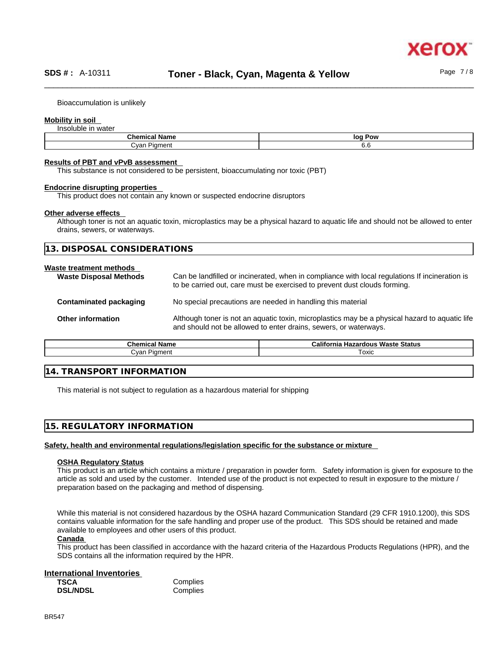Bioaccumulation is unlikely

### **Mobility in soil**

Insoluble in water

| $\mathbf{A}$<br>…ne<br>' Namu<br>$\sim$     | loo<br>Pow |
|---------------------------------------------|------------|
| -<br>λvan<br>1.288888<br>lur'<br>ווסוו<br>້ | v.u        |

#### **Results of PBT and vPvB assessment**

This substance is not considered to be persistent, bioaccumulating nor toxic (PBT)

# **Endocrine disrupting properties**

This product does not contain any known or suspected endocrine disruptors

#### **Other adverse effects**

Although toner is not an aquatic toxin, microplastics may be a physical hazard to aquatic life and should not be allowed to enter drains, sewers, or waterways.

| NSIDERATIONS<br>$\bigcap N$<br>$\cap$ C $\wedge$ l<br>ר ו<br>$\mathbf{r}$<br>$\sim$ - HU<br>◡<br>$\sim$ |
|---------------------------------------------------------------------------------------------------------|
|---------------------------------------------------------------------------------------------------------|

#### **Waste treatment methods**

| <b>Waste Disposal Methods</b> | Can be landfilled or incinerated, when in compliance with local regulations If incineration is<br>to be carried out, care must be exercised to prevent dust clouds forming. |
|-------------------------------|-----------------------------------------------------------------------------------------------------------------------------------------------------------------------------|
| Contaminated packaging        | No special precautions are needed in handling this material                                                                                                                 |
| <b>Other information</b>      | Although toner is not an aquatic toxin, microplastics may be a physical hazard to aquatic life<br>and should not be allowed to enter drains, sewers, or waterways.          |

| Chemical        | California               |  |
|-----------------|--------------------------|--|
| <b>Name</b>     | ∘ Hazardous Waste Status |  |
| Piament<br>varذ | ⊺oxic                    |  |

# **14. TRANSPORT INFORMATION**

This material is not subject to regulation as a hazardous material for shipping

# **15. REGULATORY INFORMATION**

#### **Safety, health and environmental regulations/legislation specific for the substance or mixture**

#### **OSHA Regulatory Status**

This product is an article which contains a mixture / preparation in powder form. Safety information is given for exposure to the article as sold and used by the customer. Intended use of the product is not expected to result in exposure to the mixture / preparation based on the packaging and method of dispensing.

While this material is not considered hazardous by the OSHA hazard Communication Standard (29 CFR 1910.1200), this SDS contains valuable information for the safe handling and proper use of the product. This SDS should be retained and made available to employees and other users of this product.

#### **Canada**

This product has been classified in accordance with the hazard criteria of the Hazardous Products Regulations (HPR), and the SDS contains all the information required by the HPR.

#### **International Inventories**

| <b>TSCA</b>     | ι, |
|-----------------|----|
| <b>DSL/NDSL</b> | ι. |